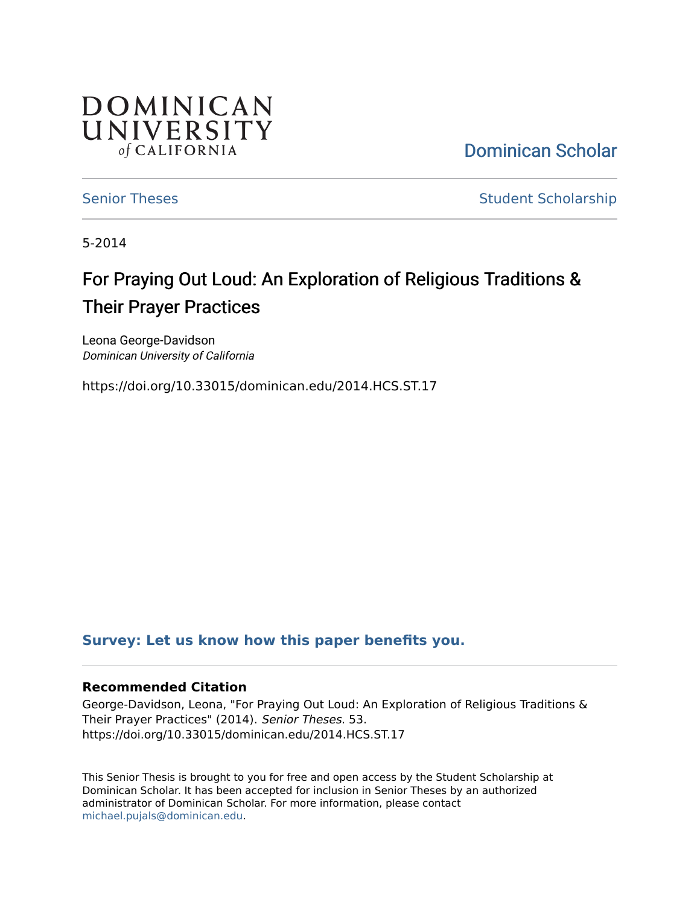# **DOMINICAN** UNIVERSITY of CALIFORNIA

[Dominican Scholar](https://scholar.dominican.edu/) 

[Senior Theses](https://scholar.dominican.edu/senior-theses) Senior Theses Student Scholarship

5-2014

# For Praying Out Loud: An Exploration of Religious Traditions & Their Prayer Practices

Leona George-Davidson Dominican University of California

https://doi.org/10.33015/dominican.edu/2014.HCS.ST.17

# **[Survey: Let us know how this paper benefits you.](https://dominican.libwizard.com/dominican-scholar-feedback)**

## **Recommended Citation**

George-Davidson, Leona, "For Praying Out Loud: An Exploration of Religious Traditions & Their Prayer Practices" (2014). Senior Theses. 53. https://doi.org/10.33015/dominican.edu/2014.HCS.ST.17

This Senior Thesis is brought to you for free and open access by the Student Scholarship at Dominican Scholar. It has been accepted for inclusion in Senior Theses by an authorized administrator of Dominican Scholar. For more information, please contact [michael.pujals@dominican.edu.](mailto:michael.pujals@dominican.edu)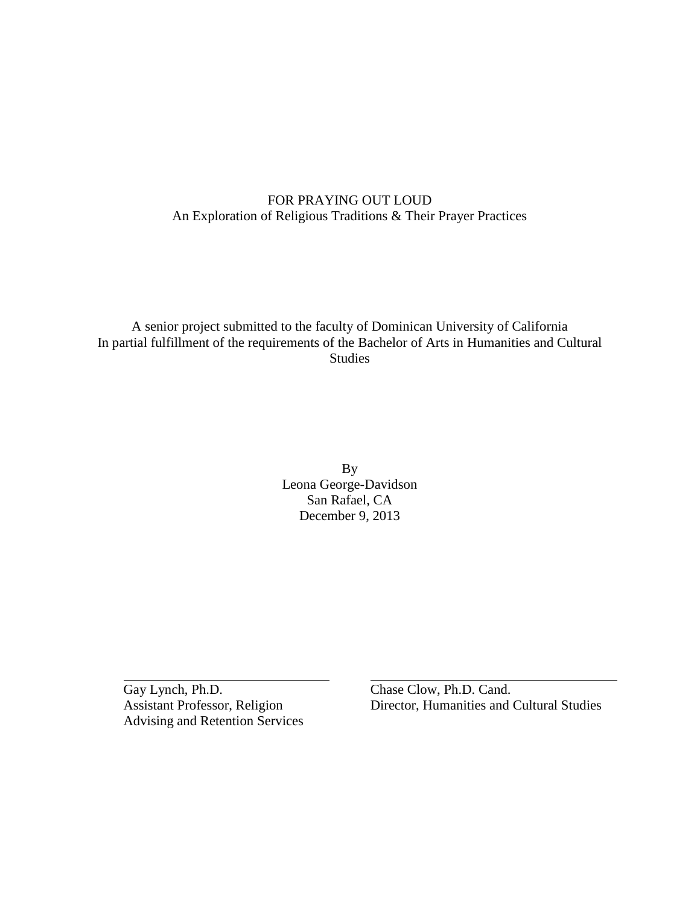# FOR PRAYING OUT LOUD An Exploration of Religious Traditions & Their Prayer Practices

# A senior project submitted to the faculty of Dominican University of California In partial fulfillment of the requirements of the Bachelor of Arts in Humanities and Cultural Studies

By Leona George-Davidson San Rafael, CA December 9, 2013

Gay Lynch, Ph.D. Cand. Advising and Retention Services

Assistant Professor, Religion Director, Humanities and Cultural Studies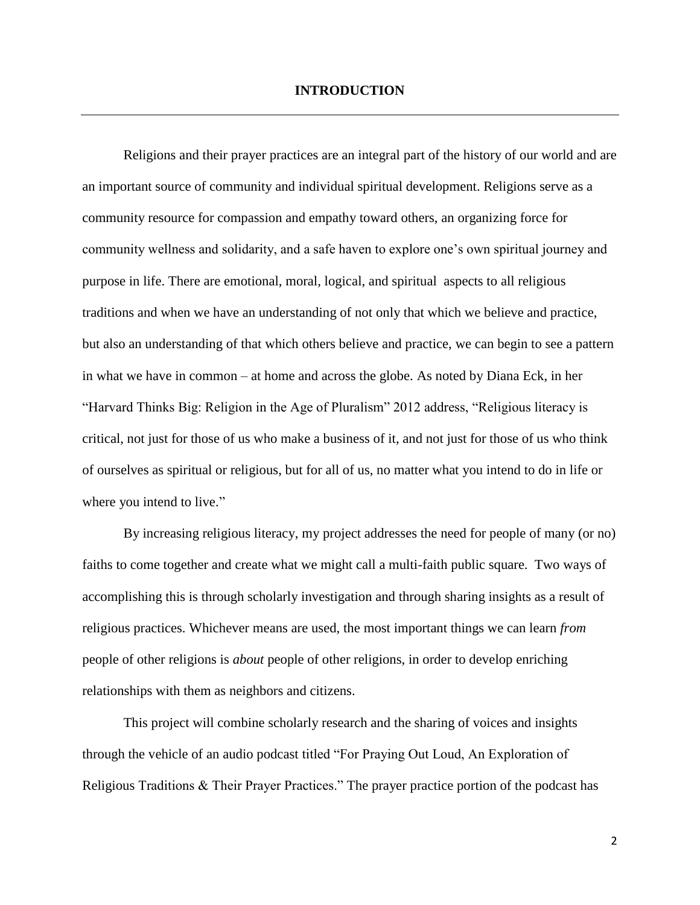Religions and their prayer practices are an integral part of the history of our world and are an important source of community and individual spiritual development. Religions serve as a community resource for compassion and empathy toward others, an organizing force for community wellness and solidarity, and a safe haven to explore one's own spiritual journey and purpose in life. There are emotional, moral, logical, and spiritual aspects to all religious traditions and when we have an understanding of not only that which we believe and practice, but also an understanding of that which others believe and practice, we can begin to see a pattern in what we have in common – at home and across the globe. As noted by Diana Eck, in her "Harvard Thinks Big: Religion in the Age of Pluralism" 2012 address, "Religious literacy is critical, not just for those of us who make a business of it, and not just for those of us who think of ourselves as spiritual or religious, but for all of us, no matter what you intend to do in life or where you intend to live."

By increasing religious literacy, my project addresses the need for people of many (or no) faiths to come together and create what we might call a multi-faith public square. Two ways of accomplishing this is through scholarly investigation and through sharing insights as a result of religious practices. Whichever means are used, the most important things we can learn *from* people of other religions is *about* people of other religions, in order to develop enriching relationships with them as neighbors and citizens.

This project will combine scholarly research and the sharing of voices and insights through the vehicle of an audio podcast titled "For Praying Out Loud, An Exploration of Religious Traditions & Their Prayer Practices." The prayer practice portion of the podcast has

2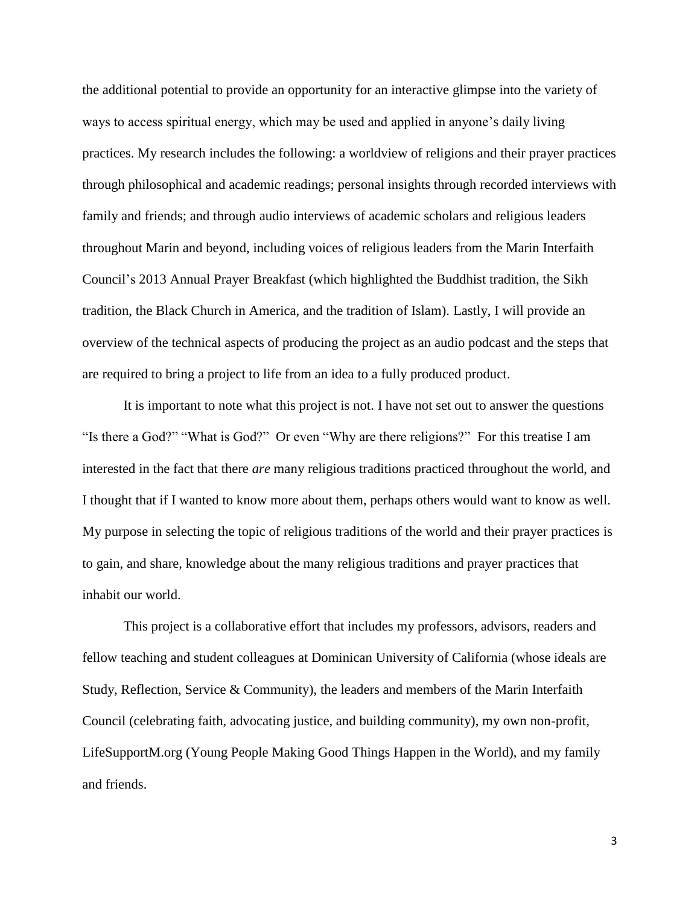the additional potential to provide an opportunity for an interactive glimpse into the variety of ways to access spiritual energy, which may be used and applied in anyone's daily living practices. My research includes the following: a worldview of religions and their prayer practices through philosophical and academic readings; personal insights through recorded interviews with family and friends; and through audio interviews of academic scholars and religious leaders throughout Marin and beyond, including voices of religious leaders from the Marin Interfaith Council's 2013 Annual Prayer Breakfast (which highlighted the Buddhist tradition, the Sikh tradition, the Black Church in America, and the tradition of Islam). Lastly, I will provide an overview of the technical aspects of producing the project as an audio podcast and the steps that are required to bring a project to life from an idea to a fully produced product.

It is important to note what this project is not. I have not set out to answer the questions "Is there a God?" "What is God?" Or even "Why are there religions?" For this treatise I am interested in the fact that there *are* many religious traditions practiced throughout the world, and I thought that if I wanted to know more about them, perhaps others would want to know as well. My purpose in selecting the topic of religious traditions of the world and their prayer practices is to gain, and share, knowledge about the many religious traditions and prayer practices that inhabit our world.

This project is a collaborative effort that includes my professors, advisors, readers and fellow teaching and student colleagues at Dominican University of California (whose ideals are Study, Reflection, Service & Community), the leaders and members of the Marin Interfaith Council (celebrating faith, advocating justice, and building community), my own non-profit, LifeSupportM.org (Young People Making Good Things Happen in the World), and my family and friends.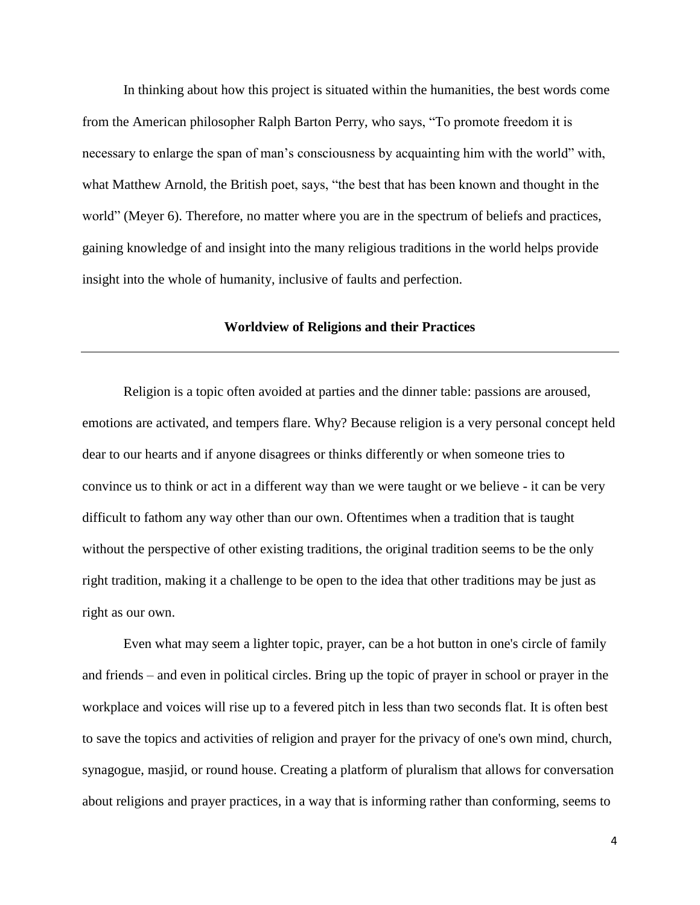In thinking about how this project is situated within the humanities, the best words come from the American philosopher Ralph Barton Perry, who says, "To promote freedom it is necessary to enlarge the span of man's consciousness by acquainting him with the world" with, what Matthew Arnold, the British poet, says, "the best that has been known and thought in the world" (Meyer 6). Therefore, no matter where you are in the spectrum of beliefs and practices, gaining knowledge of and insight into the many religious traditions in the world helps provide insight into the whole of humanity, inclusive of faults and perfection.

#### **Worldview of Religions and their Practices**

Religion is a topic often avoided at parties and the dinner table: passions are aroused, emotions are activated, and tempers flare. Why? Because religion is a very personal concept held dear to our hearts and if anyone disagrees or thinks differently or when someone tries to convince us to think or act in a different way than we were taught or we believe - it can be very difficult to fathom any way other than our own. Oftentimes when a tradition that is taught without the perspective of other existing traditions, the original tradition seems to be the only right tradition, making it a challenge to be open to the idea that other traditions may be just as right as our own.

Even what may seem a lighter topic, prayer, can be a hot button in one's circle of family and friends – and even in political circles. Bring up the topic of prayer in school or prayer in the workplace and voices will rise up to a fevered pitch in less than two seconds flat. It is often best to save the topics and activities of religion and prayer for the privacy of one's own mind, church, synagogue, masjid, or round house. Creating a platform of pluralism that allows for conversation about religions and prayer practices, in a way that is informing rather than conforming, seems to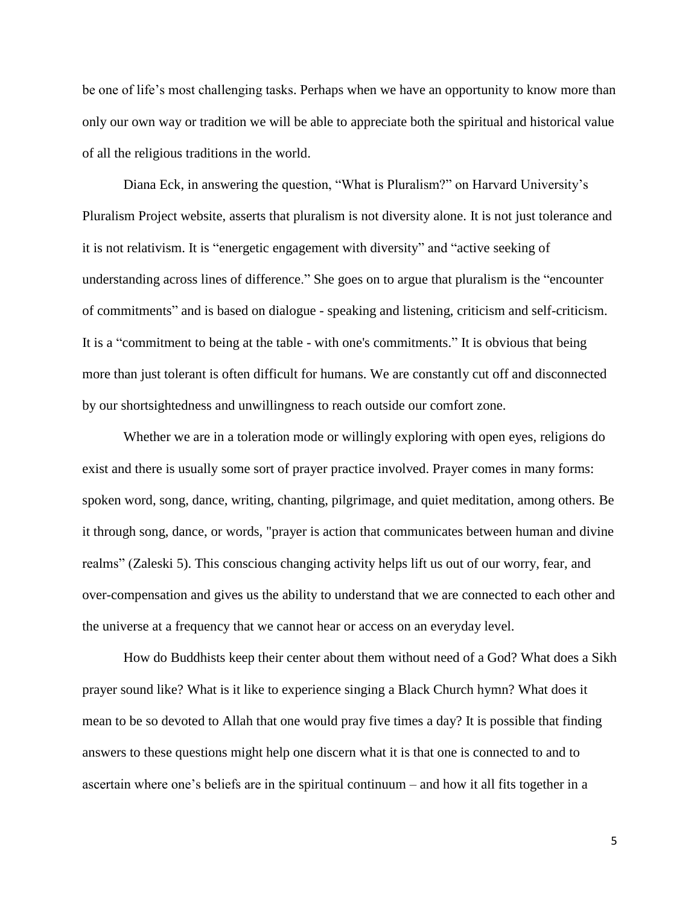be one of life's most challenging tasks. Perhaps when we have an opportunity to know more than only our own way or tradition we will be able to appreciate both the spiritual and historical value of all the religious traditions in the world.

Diana Eck, in answering the question, "What is Pluralism?" on Harvard University's Pluralism Project website, asserts that pluralism is not diversity alone. It is not just tolerance and it is not relativism. It is "energetic engagement with diversity" and "active seeking of understanding across lines of difference." She goes on to argue that pluralism is the "encounter of commitments" and is based on dialogue - speaking and listening, criticism and self-criticism. It is a "commitment to being at the table - with one's commitments." It is obvious that being more than just tolerant is often difficult for humans. We are constantly cut off and disconnected by our shortsightedness and unwillingness to reach outside our comfort zone.

Whether we are in a toleration mode or willingly exploring with open eyes, religions do exist and there is usually some sort of prayer practice involved. Prayer comes in many forms: spoken word, song, dance, writing, chanting, pilgrimage, and quiet meditation, among others. Be it through song, dance, or words, "prayer is action that communicates between human and divine realms" (Zaleski 5). This conscious changing activity helps lift us out of our worry, fear, and over-compensation and gives us the ability to understand that we are connected to each other and the universe at a frequency that we cannot hear or access on an everyday level.

How do Buddhists keep their center about them without need of a God? What does a Sikh prayer sound like? What is it like to experience singing a Black Church hymn? What does it mean to be so devoted to Allah that one would pray five times a day? It is possible that finding answers to these questions might help one discern what it is that one is connected to and to ascertain where one's beliefs are in the spiritual continuum – and how it all fits together in a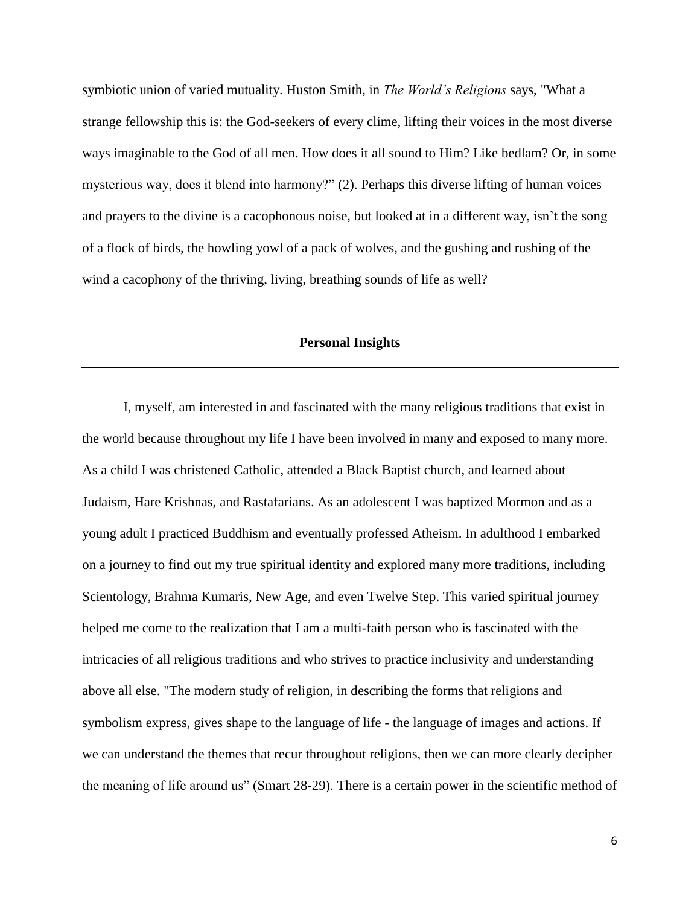symbiotic union of varied mutuality. Huston Smith, in *The World's Religions* says, "What a strange fellowship this is: the God-seekers of every clime, lifting their voices in the most diverse ways imaginable to the God of all men. How does it all sound to Him? Like bedlam? Or, in some mysterious way, does it blend into harmony?" (2). Perhaps this diverse lifting of human voices and prayers to the divine is a cacophonous noise, but looked at in a different way, isn't the song of a flock of birds, the howling yowl of a pack of wolves, and the gushing and rushing of the wind a cacophony of the thriving, living, breathing sounds of life as well?

### **Personal Insights**

I, myself, am interested in and fascinated with the many religious traditions that exist in the world because throughout my life I have been involved in many and exposed to many more. As a child I was christened Catholic, attended a Black Baptist church, and learned about Judaism, Hare Krishnas, and Rastafarians. As an adolescent I was baptized Mormon and as a young adult I practiced Buddhism and eventually professed Atheism. In adulthood I embarked on a journey to find out my true spiritual identity and explored many more traditions, including Scientology, Brahma Kumaris, New Age, and even Twelve Step. This varied spiritual journey helped me come to the realization that I am a multi-faith person who is fascinated with the intricacies of all religious traditions and who strives to practice inclusivity and understanding above all else. "The modern study of religion, in describing the forms that religions and symbolism express, gives shape to the language of life - the language of images and actions. If we can understand the themes that recur throughout religions, then we can more clearly decipher the meaning of life around us" (Smart 28-29). There is a certain power in the scientific method of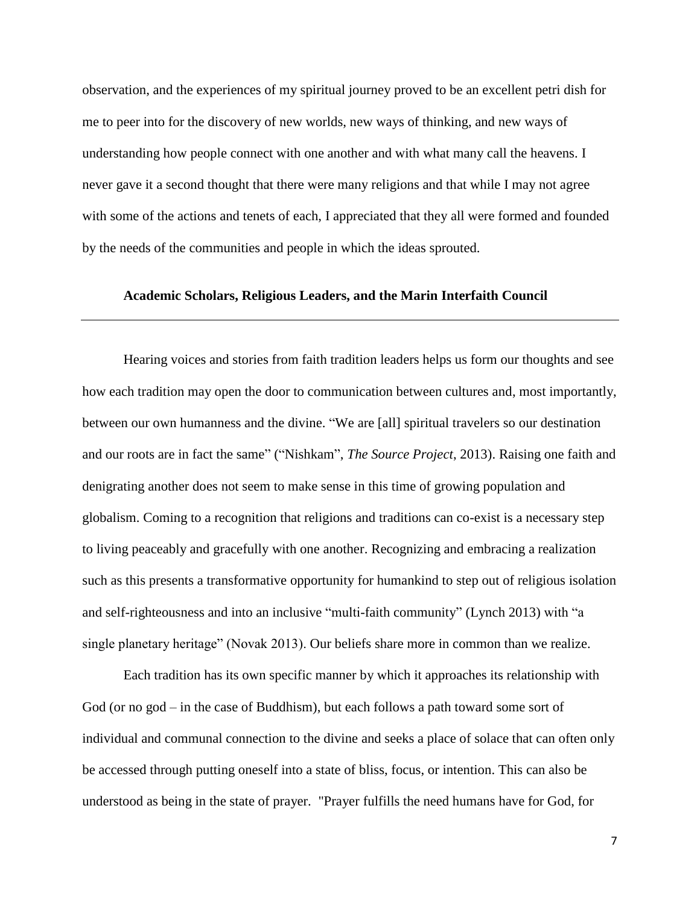observation, and the experiences of my spiritual journey proved to be an excellent petri dish for me to peer into for the discovery of new worlds, new ways of thinking, and new ways of understanding how people connect with one another and with what many call the heavens. I never gave it a second thought that there were many religions and that while I may not agree with some of the actions and tenets of each, I appreciated that they all were formed and founded by the needs of the communities and people in which the ideas sprouted.

#### **Academic Scholars, Religious Leaders, and the Marin Interfaith Council**

Hearing voices and stories from faith tradition leaders helps us form our thoughts and see how each tradition may open the door to communication between cultures and, most importantly, between our own humanness and the divine. "We are [all] spiritual travelers so our destination and our roots are in fact the same" ("Nishkam", *The Source Project*, 2013). Raising one faith and denigrating another does not seem to make sense in this time of growing population and globalism. Coming to a recognition that religions and traditions can co-exist is a necessary step to living peaceably and gracefully with one another. Recognizing and embracing a realization such as this presents a transformative opportunity for humankind to step out of religious isolation and self-righteousness and into an inclusive "multi-faith community" (Lynch 2013) with "a single planetary heritage" (Novak 2013). Our beliefs share more in common than we realize.

Each tradition has its own specific manner by which it approaches its relationship with God (or no god – in the case of Buddhism), but each follows a path toward some sort of individual and communal connection to the divine and seeks a place of solace that can often only be accessed through putting oneself into a state of bliss, focus, or intention. This can also be understood as being in the state of prayer. "Prayer fulfills the need humans have for God, for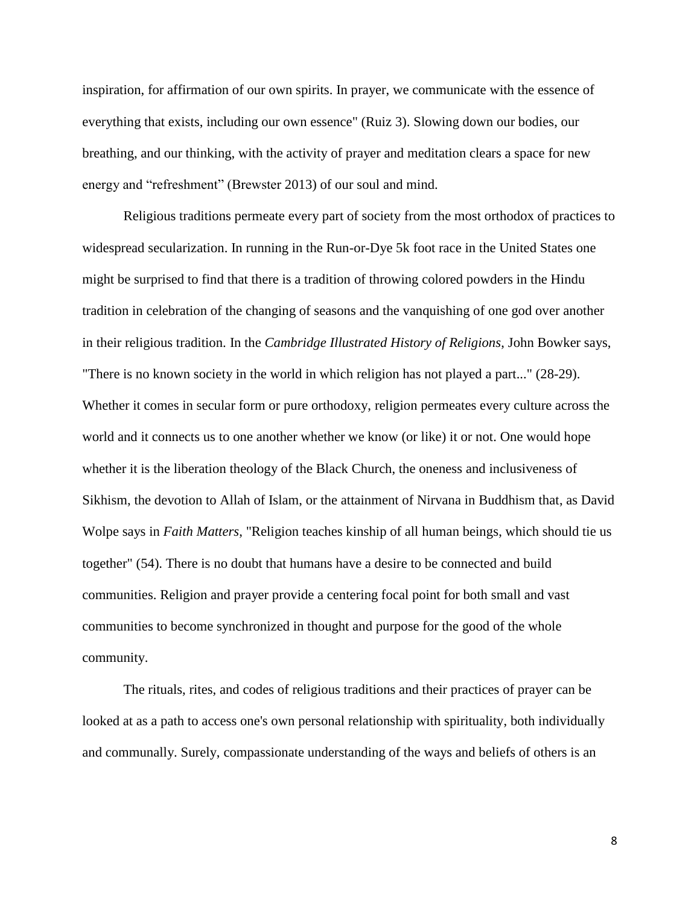inspiration, for affirmation of our own spirits. In prayer, we communicate with the essence of everything that exists, including our own essence" (Ruiz 3). Slowing down our bodies, our breathing, and our thinking, with the activity of prayer and meditation clears a space for new energy and "refreshment" (Brewster 2013) of our soul and mind.

Religious traditions permeate every part of society from the most orthodox of practices to widespread secularization. In running in the Run-or-Dye 5k foot race in the United States one might be surprised to find that there is a tradition of throwing colored powders in the Hindu tradition in celebration of the changing of seasons and the vanquishing of one god over another in their religious tradition. In the *Cambridge Illustrated History of Religions*, John Bowker says, "There is no known society in the world in which religion has not played a part..." (28-29). Whether it comes in secular form or pure orthodoxy, religion permeates every culture across the world and it connects us to one another whether we know (or like) it or not. One would hope whether it is the liberation theology of the Black Church, the oneness and inclusiveness of Sikhism, the devotion to Allah of Islam, or the attainment of Nirvana in Buddhism that, as David Wolpe says in *Faith Matters*, "Religion teaches kinship of all human beings, which should tie us together" (54). There is no doubt that humans have a desire to be connected and build communities. Religion and prayer provide a centering focal point for both small and vast communities to become synchronized in thought and purpose for the good of the whole community.

The rituals, rites, and codes of religious traditions and their practices of prayer can be looked at as a path to access one's own personal relationship with spirituality, both individually and communally. Surely, compassionate understanding of the ways and beliefs of others is an

8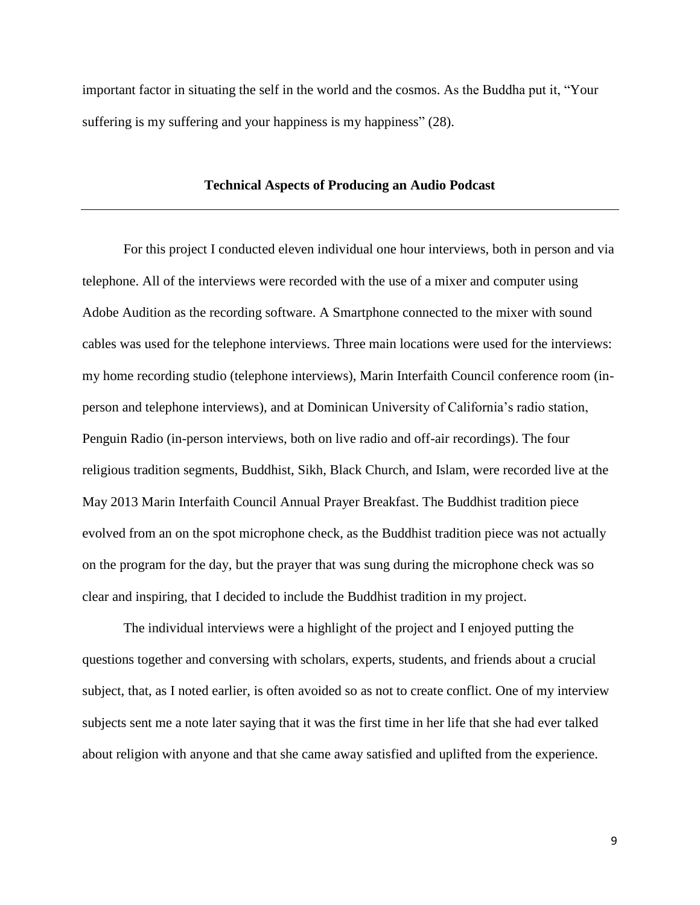important factor in situating the self in the world and the cosmos. As the Buddha put it, "Your suffering is my suffering and your happiness is my happiness" (28).

#### **Technical Aspects of Producing an Audio Podcast**

For this project I conducted eleven individual one hour interviews, both in person and via telephone. All of the interviews were recorded with the use of a mixer and computer using Adobe Audition as the recording software. A Smartphone connected to the mixer with sound cables was used for the telephone interviews. Three main locations were used for the interviews: my home recording studio (telephone interviews), Marin Interfaith Council conference room (inperson and telephone interviews), and at Dominican University of California's radio station, Penguin Radio (in-person interviews, both on live radio and off-air recordings). The four religious tradition segments, Buddhist, Sikh, Black Church, and Islam, were recorded live at the May 2013 Marin Interfaith Council Annual Prayer Breakfast. The Buddhist tradition piece evolved from an on the spot microphone check, as the Buddhist tradition piece was not actually on the program for the day, but the prayer that was sung during the microphone check was so clear and inspiring, that I decided to include the Buddhist tradition in my project.

The individual interviews were a highlight of the project and I enjoyed putting the questions together and conversing with scholars, experts, students, and friends about a crucial subject, that, as I noted earlier, is often avoided so as not to create conflict. One of my interview subjects sent me a note later saying that it was the first time in her life that she had ever talked about religion with anyone and that she came away satisfied and uplifted from the experience.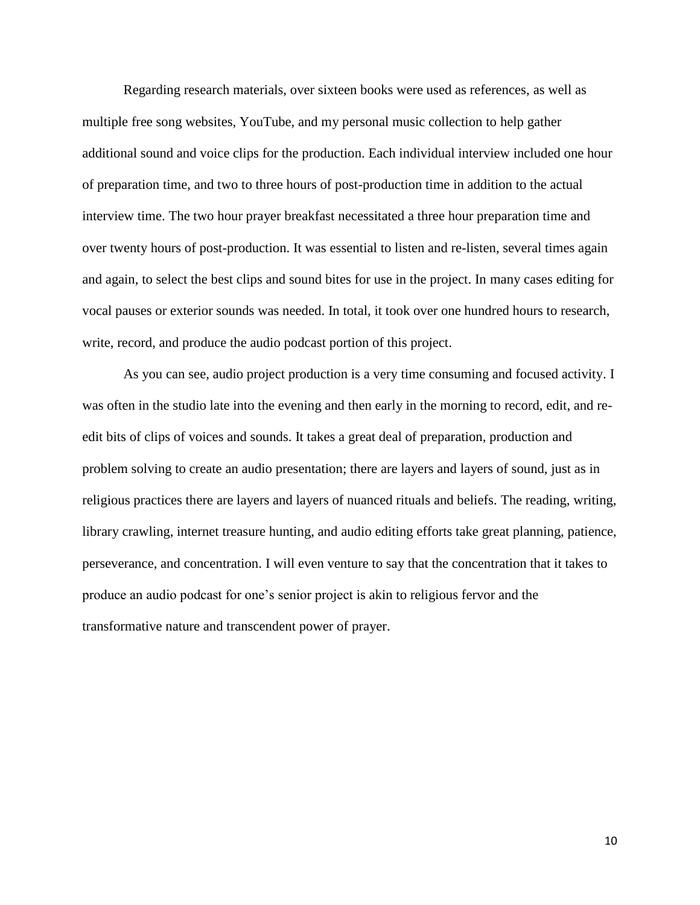Regarding research materials, over sixteen books were used as references, as well as multiple free song websites, YouTube, and my personal music collection to help gather additional sound and voice clips for the production. Each individual interview included one hour of preparation time, and two to three hours of post-production time in addition to the actual interview time. The two hour prayer breakfast necessitated a three hour preparation time and over twenty hours of post-production. It was essential to listen and re-listen, several times again and again, to select the best clips and sound bites for use in the project. In many cases editing for vocal pauses or exterior sounds was needed. In total, it took over one hundred hours to research, write, record, and produce the audio podcast portion of this project.

As you can see, audio project production is a very time consuming and focused activity. I was often in the studio late into the evening and then early in the morning to record, edit, and reedit bits of clips of voices and sounds. It takes a great deal of preparation, production and problem solving to create an audio presentation; there are layers and layers of sound, just as in religious practices there are layers and layers of nuanced rituals and beliefs. The reading, writing, library crawling, internet treasure hunting, and audio editing efforts take great planning, patience, perseverance, and concentration. I will even venture to say that the concentration that it takes to produce an audio podcast for one's senior project is akin to religious fervor and the transformative nature and transcendent power of prayer.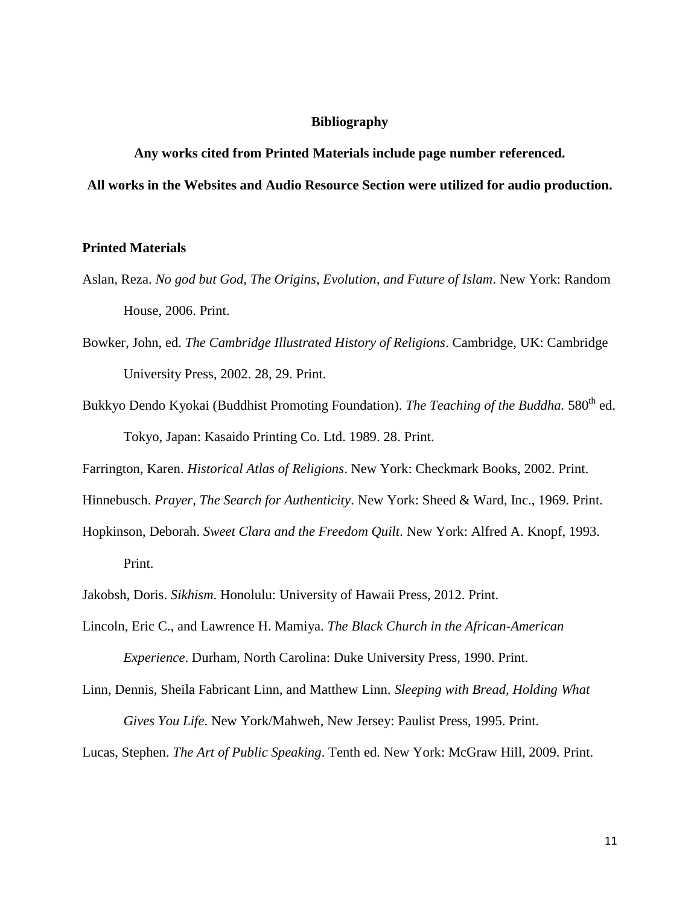#### **Bibliography**

**Any works cited from Printed Materials include page number referenced.**

**All works in the Websites and Audio Resource Section were utilized for audio production.**

#### **Printed Materials**

- Aslan, Reza. *No god but God, The Origins, Evolution, and Future of Islam*. New York: Random House, 2006. Print.
- Bowker, John, ed. *The Cambridge Illustrated History of Religions*. Cambridge, UK: Cambridge University Press, 2002. 28, 29. Print.
- Bukkyo Dendo Kyokai (Buddhist Promoting Foundation). *The Teaching of the Buddha*. 580<sup>th</sup> ed. Tokyo, Japan: Kasaido Printing Co. Ltd. 1989. 28. Print.
- Farrington, Karen. *Historical Atlas of Religions*. New York: Checkmark Books, 2002. Print.
- Hinnebusch. *Prayer, The Search for Authenticity*. New York: Sheed & Ward, Inc., 1969. Print.
- Hopkinson, Deborah. *Sweet Clara and the Freedom Quilt*. New York: Alfred A. Knopf, 1993. Print.
- Jakobsh, Doris. *Sikhism*. Honolulu: University of Hawaii Press, 2012. Print.
- Lincoln, Eric C., and Lawrence H. Mamiya. *The Black Church in the African-American Experience*. Durham, North Carolina: Duke University Press, 1990. Print.
- Linn, Dennis, Sheila Fabricant Linn, and Matthew Linn. *Sleeping with Bread, Holding What Gives You Life*. New York/Mahweh, New Jersey: Paulist Press, 1995. Print.

Lucas, Stephen. *The Art of Public Speaking*. Tenth ed. New York: McGraw Hill, 2009. Print.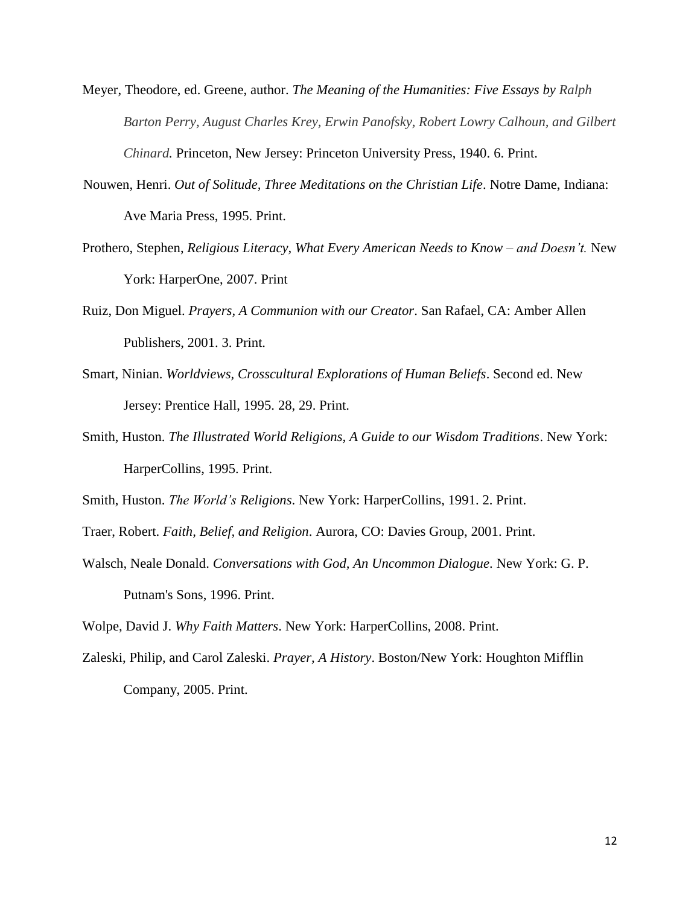- Meyer, Theodore, ed. Greene, author. *The Meaning of the Humanities: Five Essays by Ralph Barton Perry, August Charles Krey, Erwin Panofsky, Robert Lowry Calhoun, and Gilbert Chinard.* Princeton, New Jersey: Princeton University Press, 1940. 6. Print.
- Nouwen, Henri. *Out of Solitude, Three Meditations on the Christian Life*. Notre Dame, Indiana: Ave Maria Press, 1995. Print.
- Prothero, Stephen, *Religious Literacy, What Every American Needs to Know – and Doesn't.* New York: HarperOne, 2007. Print
- Ruiz, Don Miguel. *Prayers, A Communion with our Creator*. San Rafael, CA: Amber Allen Publishers, 2001. 3. Print.
- Smart, Ninian. *Worldviews, Crosscultural Explorations of Human Beliefs*. Second ed. New Jersey: Prentice Hall, 1995. 28, 29. Print.
- Smith, Huston. *The Illustrated World Religions, A Guide to our Wisdom Traditions*. New York: HarperCollins, 1995. Print.

Smith, Huston. *The World's Religions*. New York: HarperCollins, 1991. 2. Print.

Traer, Robert. *Faith, Belief, and Religion*. Aurora, CO: Davies Group, 2001. Print.

Walsch, Neale Donald. *Conversations with God, An Uncommon Dialogue*. New York: G. P. Putnam's Sons, 1996. Print.

Wolpe, David J. *Why Faith Matters*. New York: HarperCollins, 2008. Print.

Zaleski, Philip, and Carol Zaleski. *Prayer, A History*. Boston/New York: Houghton Mifflin Company, 2005. Print.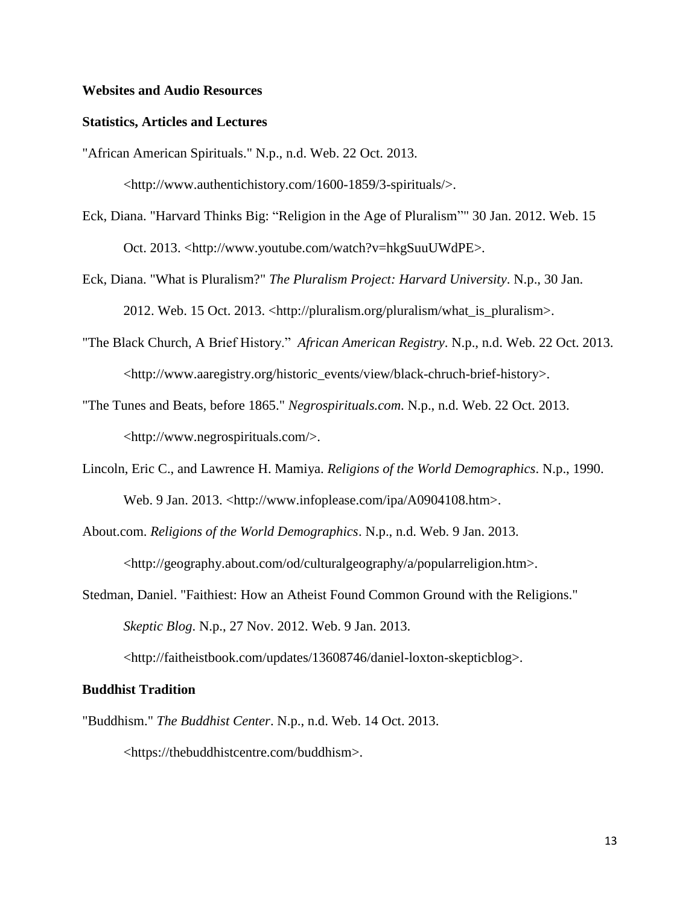#### **Websites and Audio Resources**

#### **Statistics, Articles and Lectures**

"African American Spirituals." N.p., n.d. Web. 22 Oct. 2013.

<http://www.authentichistory.com/1600-1859/3-spirituals/>.

- Eck, Diana. "Harvard Thinks Big: "Religion in the Age of Pluralism"" 30 Jan. 2012. Web. 15 Oct. 2013. <http://www.youtube.com/watch?v=hkgSuuUWdPE>.
- Eck, Diana. "What is Pluralism?" *The Pluralism Project: Harvard University*. N.p., 30 Jan. 2012. Web. 15 Oct. 2013. <http://pluralism.org/pluralism/what\_is\_pluralism>.
- "The Black Church, A Brief History." *African American Registry*. N.p., n.d. Web. 22 Oct. 2013. <http://www.aaregistry.org/historic\_events/view/black-chruch-brief-history>.
- "The Tunes and Beats, before 1865." *Negrospirituals.com*. N.p., n.d. Web. 22 Oct. 2013. <http://www.negrospirituals.com/>.
- Lincoln, Eric C., and Lawrence H. Mamiya. *Religions of the World Demographics*. N.p., 1990. Web. 9 Jan. 2013. <http://www.infoplease.com/ipa/A0904108.htm>.
- About.com. *Religions of the World Demographics*. N.p., n.d. Web. 9 Jan. 2013.

<http://geography.about.com/od/culturalgeography/a/popularreligion.htm>.

Stedman, Daniel. "Faithiest: How an Atheist Found Common Ground with the Religions." *Skeptic Blog*. N.p., 27 Nov. 2012. Web. 9 Jan. 2013.

<http://faitheistbook.com/updates/13608746/daniel-loxton-skepticblog>.

#### **Buddhist Tradition**

"Buddhism." *The Buddhist Center*. N.p., n.d. Web. 14 Oct. 2013.

<https://thebuddhistcentre.com/buddhism>.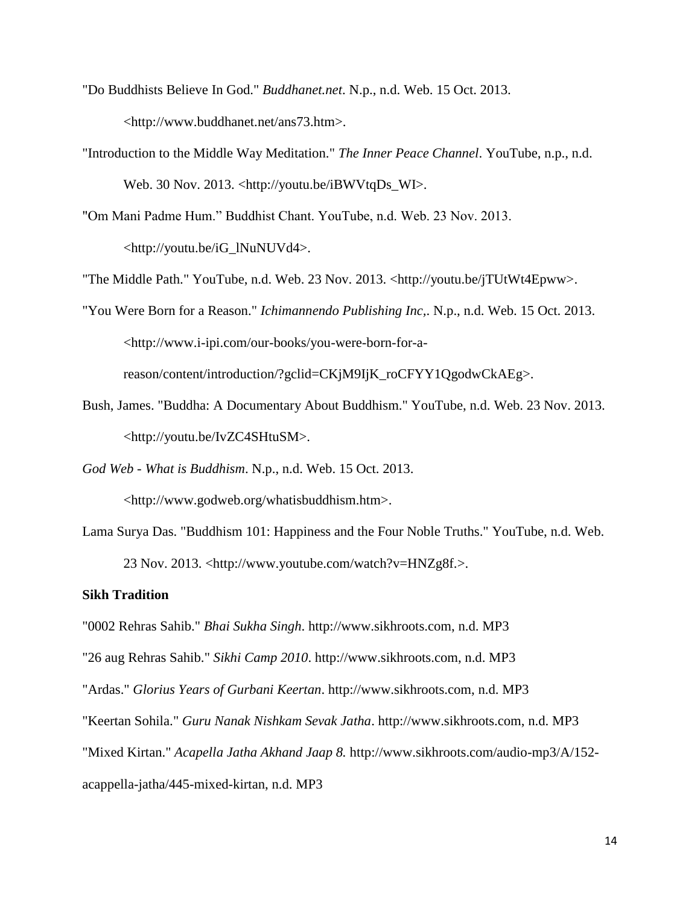- "Do Buddhists Believe In God." *Buddhanet.net*. N.p., n.d. Web. 15 Oct. 2013. <http://www.buddhanet.net/ans73.htm>.
- "Introduction to the Middle Way Meditation." *The Inner Peace Channel*. YouTube, n.p., n.d. Web. 30 Nov. 2013. <http://youtu.be/iBWVtqDs\_WI>.
- "Om Mani Padme Hum." Buddhist Chant. YouTube, n.d. Web. 23 Nov. 2013. <http://youtu.be/iG\_lNuNUVd4>.

"The Middle Path." YouTube, n.d. Web. 23 Nov. 2013. <http://youtu.be/jTUtWt4Epww>.

- "You Were Born for a Reason." *Ichimannendo Publishing Inc,*. N.p., n.d. Web. 15 Oct. 2013. <http://www.i-ipi.com/our-books/you-were-born-for-areason/content/introduction/?gclid=CKjM9IjK\_roCFYY1QgodwCkAEg>.
- Bush, James. "Buddha: A Documentary About Buddhism." YouTube, n.d. Web. 23 Nov. 2013. <http://youtu.be/IvZC4SHtuSM>.
- *God Web - What is Buddhism*. N.p., n.d. Web. 15 Oct. 2013.

<http://www.godweb.org/whatisbuddhism.htm>.

Lama Surya Das. "Buddhism 101: Happiness and the Four Noble Truths." YouTube, n.d. Web. 23 Nov. 2013. <http://www.youtube.com/watch?v=HNZg8f.>.

#### **Sikh Tradition**

"0002 Rehras Sahib." *Bhai Sukha Singh*. http://www.sikhroots.com, n.d. MP3

"26 aug Rehras Sahib." *Sikhi Camp 2010*. http://www.sikhroots.com, n.d. MP3

- "Ardas." *Glorius Years of Gurbani Keertan*. http://www.sikhroots.com, n.d. MP3
- "Keertan Sohila." *Guru Nanak Nishkam Sevak Jatha*. http://www.sikhroots.com, n.d. MP3
- "Mixed Kirtan." *Acapella Jatha Akhand Jaap 8.* http://www.sikhroots.com/audio-mp3/A/152-

acappella-jatha/445-mixed-kirtan, n.d. MP3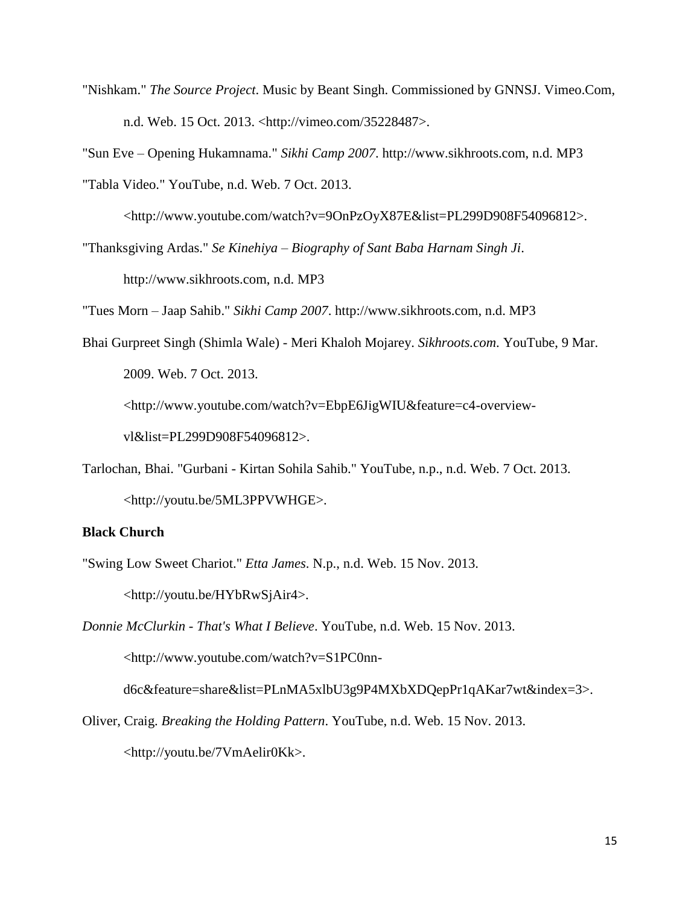- "Nishkam." *The Source Project*. Music by Beant Singh. Commissioned by GNNSJ. Vimeo.Com, n.d. Web. 15 Oct. 2013. <http://vimeo.com/35228487>.
- "Sun Eve Opening Hukamnama." *Sikhi Camp 2007*. http://www.sikhroots.com, n.d. MP3
- "Tabla Video." YouTube, n.d. Web. 7 Oct. 2013.

<http://www.youtube.com/watch?v=9OnPzOyX87E&list=PL299D908F54096812>.

"Thanksgiving Ardas." *Se Kinehiya – Biography of Sant Baba Harnam Singh Ji*.

http://www.sikhroots.com, n.d. MP3

"Tues Morn – Jaap Sahib." *Sikhi Camp 2007*. http://www.sikhroots.com, n.d. MP3

Bhai Gurpreet Singh (Shimla Wale) - Meri Khaloh Mojarey. *Sikhroots.com*. YouTube, 9 Mar. 2009. Web. 7 Oct. 2013. <http://www.youtube.com/watch?v=EbpE6JigWIU&feature=c4-overview-

vl&list=PL299D908F54096812>.

Tarlochan, Bhai. "Gurbani - Kirtan Sohila Sahib." YouTube, n.p., n.d. Web. 7 Oct. 2013. <http://youtu.be/5ML3PPVWHGE>.

#### **Black Church**

- "Swing Low Sweet Chariot." *Etta James*. N.p., n.d. Web. 15 Nov. 2013. <http://youtu.be/HYbRwSjAir4>.
- *Donnie McClurkin - That's What I Believe*. YouTube, n.d. Web. 15 Nov. 2013.

<http://www.youtube.com/watch?v=S1PC0nn-

d6c&feature=share&list=PLnMA5xlbU3g9P4MXbXDQepPr1qAKar7wt&index=3>.

Oliver, Craig. *Breaking the Holding Pattern*. YouTube, n.d. Web. 15 Nov. 2013. <http://youtu.be/7VmAelir0Kk>.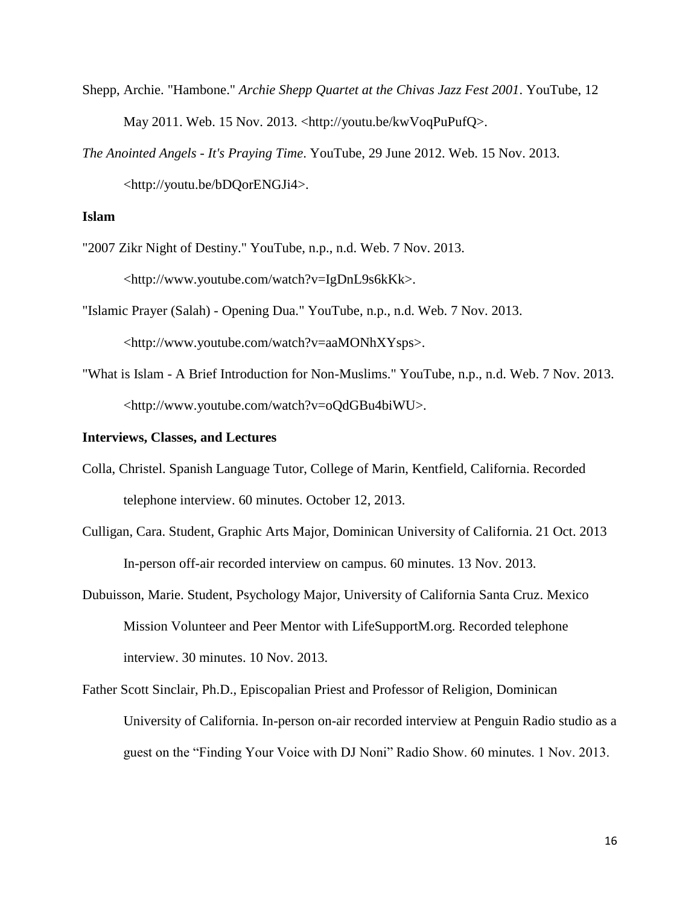- Shepp, Archie. "Hambone." *Archie Shepp Quartet at the Chivas Jazz Fest 2001*. YouTube, 12 May 2011. Web. 15 Nov. 2013. <http://youtu.be/kwVoqPuPufQ>.
- *The Anointed Angels - It's Praying Time*. YouTube, 29 June 2012. Web. 15 Nov. 2013. <http://youtu.be/bDQorENGJi4>.

#### **Islam**

"2007 Zikr Night of Destiny." YouTube, n.p., n.d. Web. 7 Nov. 2013.

<http://www.youtube.com/watch?v=IgDnL9s6kKk>.

- "Islamic Prayer (Salah) Opening Dua." YouTube, n.p., n.d. Web. 7 Nov. 2013. <http://www.youtube.com/watch?v=aaMONhXYsps>.
- "What is Islam A Brief Introduction for Non-Muslims." YouTube, n.p., n.d. Web. 7 Nov. 2013. <http://www.youtube.com/watch?v=oQdGBu4biWU>.

#### **Interviews, Classes, and Lectures**

- Colla, Christel. Spanish Language Tutor, College of Marin, Kentfield, California. Recorded telephone interview. 60 minutes. October 12, 2013.
- Culligan, Cara. Student, Graphic Arts Major, Dominican University of California. 21 Oct. 2013 In-person off-air recorded interview on campus. 60 minutes. 13 Nov. 2013.
- Dubuisson, Marie. Student, Psychology Major, University of California Santa Cruz. Mexico Mission Volunteer and Peer Mentor with LifeSupportM.org. Recorded telephone interview. 30 minutes. 10 Nov. 2013.
- Father Scott Sinclair, Ph.D., Episcopalian Priest and Professor of Religion, Dominican University of California. In-person on-air recorded interview at Penguin Radio studio as a guest on the "Finding Your Voice with DJ Noni" Radio Show. 60 minutes. 1 Nov. 2013.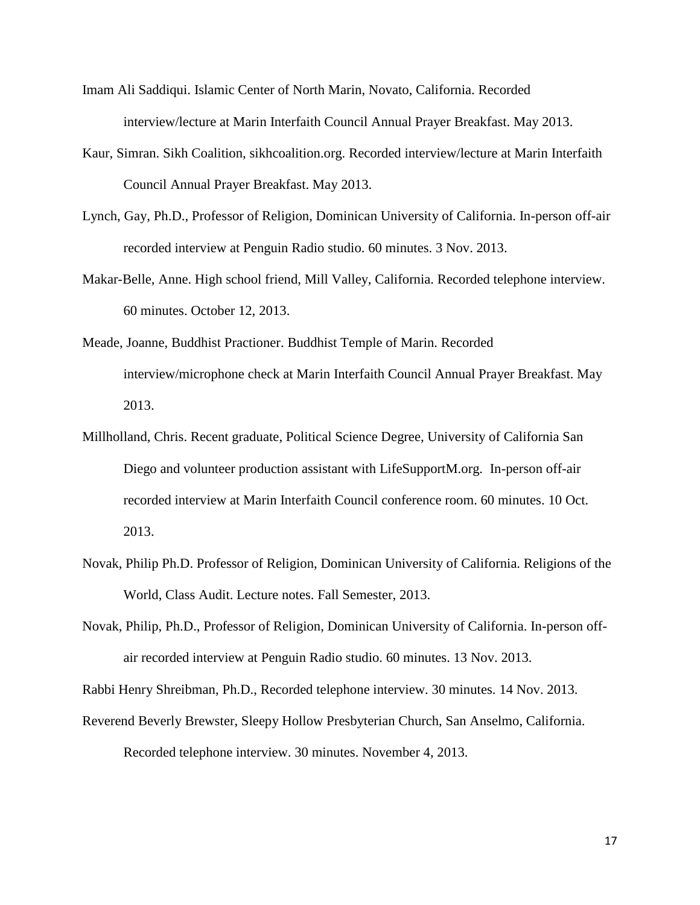- Imam Ali Saddiqui. Islamic Center of North Marin, Novato, California. Recorded interview/lecture at Marin Interfaith Council Annual Prayer Breakfast. May 2013.
- Kaur, Simran. Sikh Coalition, sikhcoalition.org. Recorded interview/lecture at Marin Interfaith Council Annual Prayer Breakfast. May 2013.
- Lynch, Gay, Ph.D., Professor of Religion, Dominican University of California. In-person off-air recorded interview at Penguin Radio studio. 60 minutes. 3 Nov. 2013.
- Makar-Belle, Anne. High school friend, Mill Valley, California. Recorded telephone interview. 60 minutes. October 12, 2013.
- Meade, Joanne, Buddhist Practioner. Buddhist Temple of Marin. Recorded interview/microphone check at Marin Interfaith Council Annual Prayer Breakfast. May 2013.
- Millholland, Chris. Recent graduate, Political Science Degree, University of California San Diego and volunteer production assistant with LifeSupportM.org. In-person off-air recorded interview at Marin Interfaith Council conference room. 60 minutes. 10 Oct. 2013.
- Novak, Philip Ph.D. Professor of Religion, Dominican University of California. Religions of the World, Class Audit. Lecture notes. Fall Semester, 2013.
- Novak, Philip, Ph.D., Professor of Religion, Dominican University of California. In-person offair recorded interview at Penguin Radio studio. 60 minutes. 13 Nov. 2013.

Rabbi Henry Shreibman, Ph.D., Recorded telephone interview. 30 minutes. 14 Nov. 2013.

Reverend Beverly Brewster, Sleepy Hollow Presbyterian Church, San Anselmo, California. Recorded telephone interview. 30 minutes. November 4, 2013.